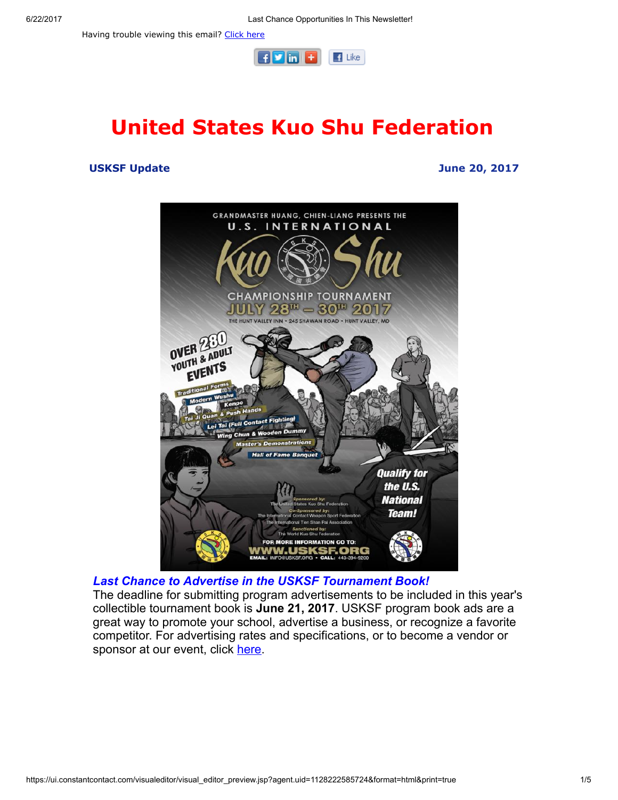Having trouble viewing this email? [Click](http://campaign.r20.constantcontact.com/render?ca=64d63a74-79cb-43bd-af12-cadfc870f4c1&preview=true&m=1101951016402&id=preview) here



# United States Kuo Shu Federation

#### USKSF Update June 20, 2017





The deadline for submitting program advertisements to be included in this year's collectible tournament book is June 21, 2017. USKSF program book ads are a great way to promote your school, advertise a business, or recognize a favorite competitor. For advertising rates and specifications, or to become a vendor or sponsor at our event, click [here](https://usksf.org/tournament-book-advertisement/).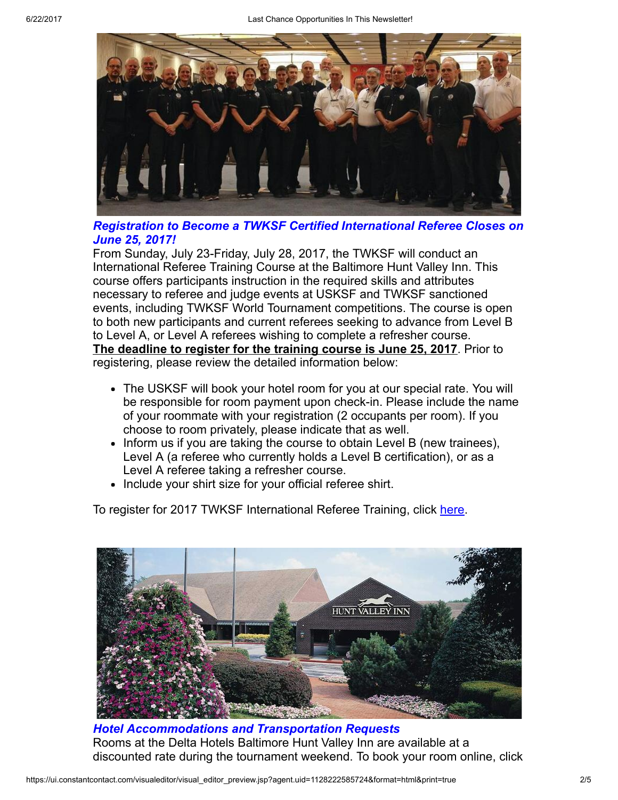

### Registration to Become a TWKSF Certified International Referee Closes on June 25, 2017!

From Sunday, July 23-Friday, July 28, 2017, the TWKSF will conduct an International Referee Training Course at the Baltimore Hunt Valley Inn. This course offers participants instruction in the required skills and attributes necessary to referee and judge events at USKSF and TWKSF sanctioned events, including TWKSF World Tournament competitions. The course is open to both new participants and current referees seeking to advance from Level B to Level A, or Level A referees wishing to complete a refresher course. The deadline to register for the training course is June 25, 2017. Prior to registering, please review the detailed information below:

- The USKSF will book your hotel room for you at our special rate. You will be responsible for room payment upon check-in. Please include the name of your roommate with your registration (2 occupants per room). If you choose to room privately, please indicate that as well.
- Inform us if you are taking the course to obtain Level B (new trainees), Level A (a referee who currently holds a Level B certification), or as a Level A referee taking a refresher course.
- Include your shirt size for your official referee shirt.

To register for 2017 TWKSF International Referee Training, click [here](http://www.wu-kui-tang.com/usksf/registration/welcome.aspx).



Hotel Accommodations and Transportation Requests Rooms at the Delta Hotels Baltimore Hunt Valley Inn are available at a discounted rate during the tournament weekend. To book your room online, click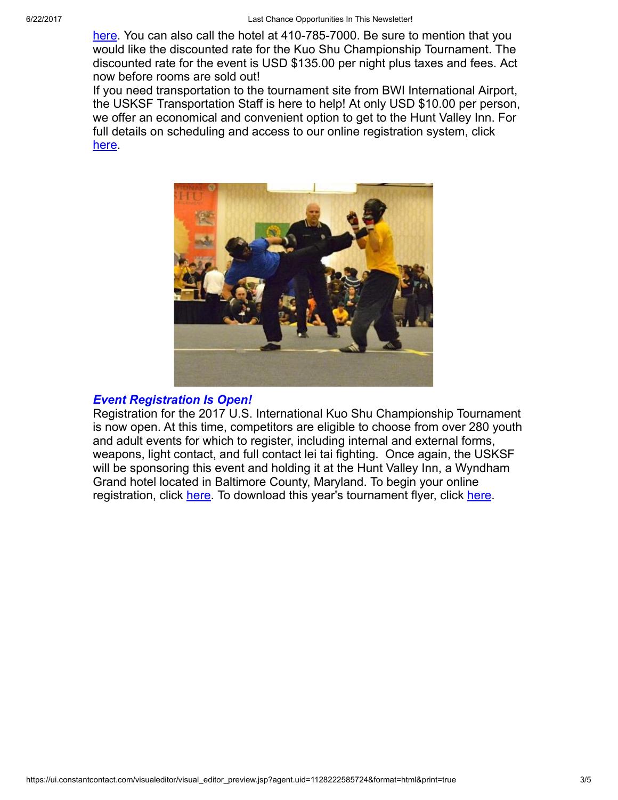[here](http://www.marriott.com/meeting-event-hotels/group-corporate-travel/groupCorp.mi?resLinkData=Kuo%20Shu%20Championship%20Tournament%5Ebwidh%60ks1ks1a%7Cks1ks1b%60135%60USD%60false%604%607/26/17%607/31/17%607/5/17&app=resvlink&stop_mobi=yes). You can also call the hotel at 410-785-7000. Be sure to mention that you would like the discounted rate for the Kuo Shu Championship Tournament. The discounted rate for the event is USD \$135.00 per night plus taxes and fees. Act now before rooms are sold out!

If you need transportation to the tournament site from BWI International Airport, the USKSF Transportation Staff is here to help! At only USD \$10.00 per person, we offer an economical and convenient option to get to the Hunt Valley Inn. For full details on scheduling and access to our online registration system, click [here](https://usksf.org/transportation-and-accommodations/).



#### Event Registration Is Open!

Registration for the 2017 U.S. International Kuo Shu Championship Tournament is now open. At this time, competitors are eligible to choose from over 280 youth and adult events for which to register, including internal and external forms, weapons, light contact, and full contact lei tai fighting. Once again, the USKSF will be sponsoring this event and holding it at the Hunt Valley Inn, a Wyndham Grand hotel located in Baltimore County, Maryland. To begin your online registration, click [here.](http://www.wu-kui-tang.com/usksf/registration/welcome.aspx) To download this year's tournament flyer, click [here](http://usksf.org/the-2017-kuo-shu-tournament-flyer-now-available/).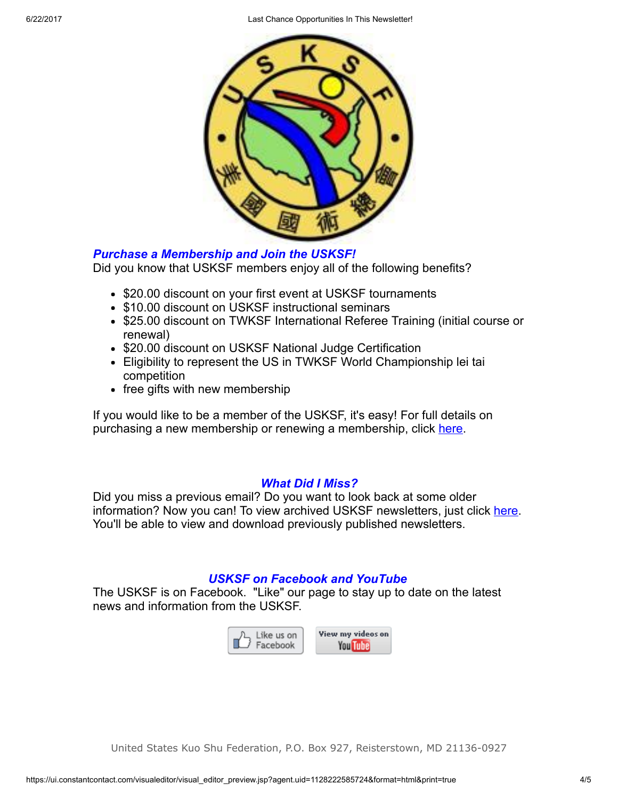6/22/2017 Last Chance Opportunities In This Newsletter!



## Purchase a Membership and Join the USKSF!

Did you know that USKSF members enjoy all of the following benefits?

- \$20.00 discount on your first event at USKSF tournaments
- \$10.00 discount on USKSF instructional seminars
- \$25.00 discount on TWKSF International Referee Training (initial course or renewal)
- \$20.00 discount on USKSF National Judge Certification
- Eligibility to represent the US in TWKSF World Championship lei tai competition
- free gifts with new membership

If you would like to be a member of the USKSF, it's easy! For full details on purchasing a new membership or renewing a membership, click [here.](https://usksf.org/membership/)

## What Did I Miss?

Did you miss a previous email? Do you want to look back at some older information? Now you can! To view archived USKSF newsletters, just click [here](https://usksf.org/usksf-newsletters/). You'll be able to view and download previously published newsletters.

## USKSF on Facebook and YouTube

The USKSF is on Facebook. "Like" our page to stay up to date on the latest news and information from the USKSF.



United States Kuo Shu Federation, P.O. Box 927, Reisterstown, MD 21136-0927